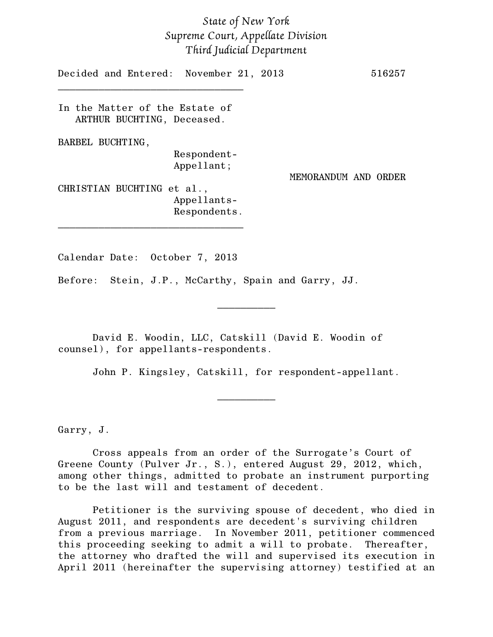## *State of New York Supreme Court, Appellate Division Third Judicial Department*

Decided and Entered: November 21, 2013 516257 \_\_\_\_\_\_\_\_\_\_\_\_\_\_\_\_\_\_\_\_\_\_\_\_\_\_\_\_\_\_\_\_ In the Matter of the Estate of ARTHUR BUCHTING, Deceased. BARBEL BUCHTING, Respondent-Appellant; MEMORANDUM AND ORDER CHRISTIAN BUCHTING et al., Appellants-Respondents. \_\_\_\_\_\_\_\_\_\_\_\_\_\_\_\_\_\_\_\_\_\_\_\_\_\_\_\_\_\_\_\_

Calendar Date: October 7, 2013

Before: Stein, J.P., McCarthy, Spain and Garry, JJ.

David E. Woodin, LLC, Catskill (David E. Woodin of counsel), for appellants-respondents.

John P. Kingsley, Catskill, for respondent-appellant.

 $\frac{1}{2}$ 

 $\frac{1}{2}$ 

Garry, J.

Cross appeals from an order of the Surrogate's Court of Greene County (Pulver Jr., S.), entered August 29, 2012, which, among other things, admitted to probate an instrument purporting to be the last will and testament of decedent.

Petitioner is the surviving spouse of decedent, who died in August 2011, and respondents are decedent's surviving children from a previous marriage. In November 2011, petitioner commenced this proceeding seeking to admit a will to probate. Thereafter, the attorney who drafted the will and supervised its execution in April 2011 (hereinafter the supervising attorney) testified at an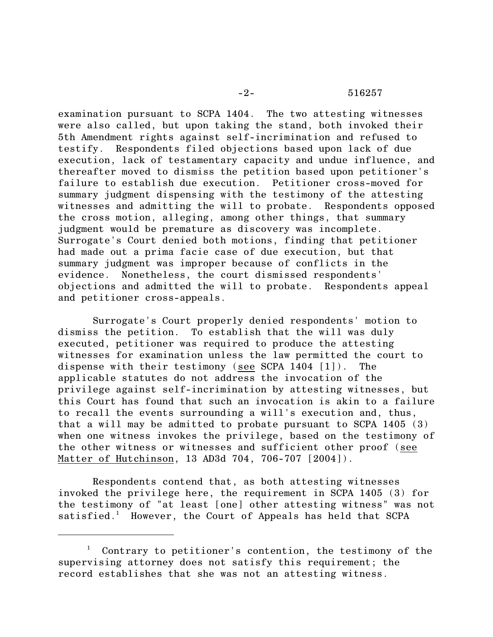## -2- 516257

examination pursuant to SCPA 1404. The two attesting witnesses were also called, but upon taking the stand, both invoked their 5th Amendment rights against self-incrimination and refused to testify. Respondents filed objections based upon lack of due execution, lack of testamentary capacity and undue influence, and thereafter moved to dismiss the petition based upon petitioner's failure to establish due execution. Petitioner cross-moved for summary judgment dispensing with the testimony of the attesting witnesses and admitting the will to probate. Respondents opposed the cross motion, alleging, among other things, that summary judgment would be premature as discovery was incomplete. Surrogate's Court denied both motions, finding that petitioner had made out a prima facie case of due execution, but that summary judgment was improper because of conflicts in the evidence. Nonetheless, the court dismissed respondents' objections and admitted the will to probate. Respondents appeal and petitioner cross-appeals.

Surrogate's Court properly denied respondents' motion to dismiss the petition. To establish that the will was duly executed, petitioner was required to produce the attesting witnesses for examination unless the law permitted the court to dispense with their testimony (see SCPA 1404 [1]). The applicable statutes do not address the invocation of the privilege against self-incrimination by attesting witnesses, but this Court has found that such an invocation is akin to a failure to recall the events surrounding a will's execution and, thus, that a will may be admitted to probate pursuant to SCPA 1405 (3) when one witness invokes the privilege, based on the testimony of the other witness or witnesses and sufficient other proof (see Matter of Hutchinson, 13 AD3d 704, 706-707 [2004]).

Respondents contend that, as both attesting witnesses invoked the privilege here, the requirement in SCPA 1405 (3) for the testimony of "at least [one] other attesting witness" was not satisfied.<sup>1</sup> However, the Court of Appeals has held that SCPA

Contrary to petitioner's contention, the testimony of the supervising attorney does not satisfy this requirement; the record establishes that she was not an attesting witness.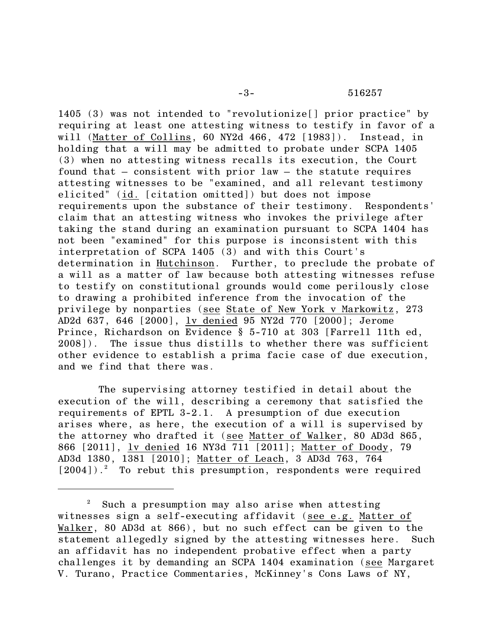1405 (3) was not intended to "revolutionize[] prior practice" by requiring at least one attesting witness to testify in favor of a will (Matter of Collins, 60 NY2d 466, 472 [1983]). Instead, in holding that a will may be admitted to probate under SCPA 1405 (3) when no attesting witness recalls its execution, the Court found that – consistent with prior law – the statute requires attesting witnesses to be "examined, and all relevant testimony elicited" (id. [citation omitted]) but does not impose requirements upon the substance of their testimony. Respondents' claim that an attesting witness who invokes the privilege after taking the stand during an examination pursuant to SCPA 1404 has not been "examined" for this purpose is inconsistent with this interpretation of SCPA 1405 (3) and with this Court's determination in Hutchinson. Further, to preclude the probate of a will as a matter of law because both attesting witnesses refuse to testify on constitutional grounds would come perilously close to drawing a prohibited inference from the invocation of the privilege by nonparties (see State of New York v Markowitz, 273 AD2d 637, 646 [2000], lv denied 95 NY2d 770 [2000]; Jerome Prince, Richardson on Evidence § 5-710 at 303 [Farrell 11th ed, 2008]). The issue thus distills to whether there was sufficient other evidence to establish a prima facie case of due execution, and we find that there was.

 The supervising attorney testified in detail about the execution of the will, describing a ceremony that satisfied the requirements of EPTL 3-2.1. A presumption of due execution arises where, as here, the execution of a will is supervised by the attorney who drafted it (see Matter of Walker, 80 AD3d 865, 866 [2011], lv denied 16 NY3d 711 [2011]; Matter of Doody, 79 AD3d 1380, 1381 [2010]; Matter of Leach, 3 AD3d 763, 764  $[2004]$ ).<sup>2</sup> To rebut this presumption, respondents were required

 $\frac{2}{3}$  Such a presumption may also arise when attesting witnesses sign a self-executing affidavit (see e.g. Matter of Walker, 80 AD3d at 866), but no such effect can be given to the statement allegedly signed by the attesting witnesses here. Such an affidavit has no independent probative effect when a party challenges it by demanding an SCPA 1404 examination (see Margaret V. Turano, Practice Commentaries, McKinney's Cons Laws of NY,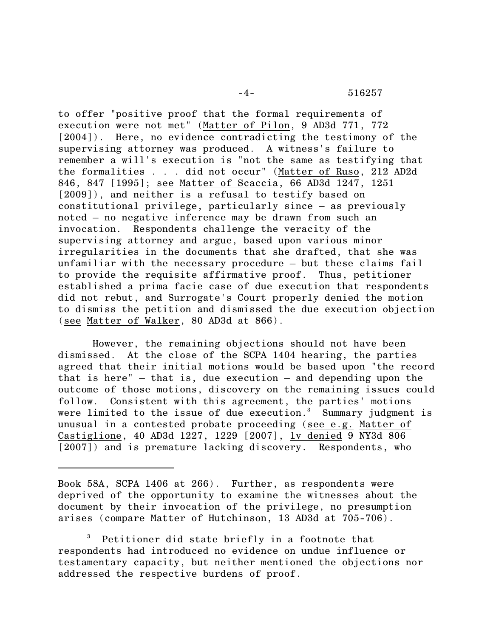-4- 516257

to offer "positive proof that the formal requirements of execution were not met" (Matter of Pilon, 9 AD3d 771, 772 [2004]). Here, no evidence contradicting the testimony of the supervising attorney was produced. A witness's failure to remember a will's execution is "not the same as testifying that the formalities . . . did not occur" (Matter of Ruso, 212 AD2d 846, 847 [1995]; see Matter of Scaccia, 66 AD3d 1247, 1251 [2009]), and neither is a refusal to testify based on constitutional privilege, particularly since – as previously noted – no negative inference may be drawn from such an invocation. Respondents challenge the veracity of the supervising attorney and argue, based upon various minor irregularities in the documents that she drafted, that she was unfamiliar with the necessary procedure – but these claims fail to provide the requisite affirmative proof. Thus, petitioner established a prima facie case of due execution that respondents did not rebut, and Surrogate's Court properly denied the motion to dismiss the petition and dismissed the due execution objection (see Matter of Walker, 80 AD3d at 866).

However, the remaining objections should not have been dismissed. At the close of the SCPA 1404 hearing, the parties agreed that their initial motions would be based upon "the record that is here" – that is, due execution – and depending upon the outcome of those motions, discovery on the remaining issues could follow. Consistent with this agreement, the parties' motions were limited to the issue of due execution. $3$  Summary judgment is unusual in a contested probate proceeding (see e.g. Matter of Castiglione, 40 AD3d 1227, 1229 [2007], lv denied 9 NY3d 806 [2007]) and is premature lacking discovery. Respondents, who

<sup>3</sup> Petitioner did state briefly in a footnote that respondents had introduced no evidence on undue influence or testamentary capacity, but neither mentioned the objections nor addressed the respective burdens of proof.

Book 58A, SCPA 1406 at 266). Further, as respondents were deprived of the opportunity to examine the witnesses about the document by their invocation of the privilege, no presumption arises (compare Matter of Hutchinson, 13 AD3d at 705-706).